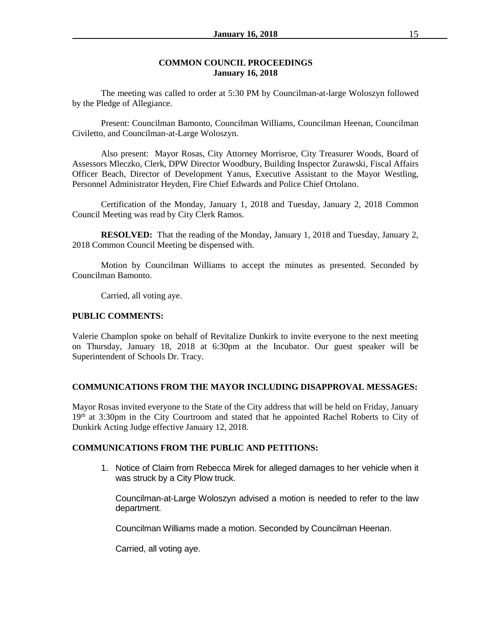### **COMMON COUNCIL PROCEEDINGS January 16, 2018**

The meeting was called to order at 5:30 PM by Councilman-at-large Woloszyn followed by the Pledge of Allegiance.

Present: Councilman Bamonto, Councilman Williams, Councilman Heenan, Councilman Civiletto, and Councilman-at-Large Woloszyn.

Also present: Mayor Rosas, City Attorney Morrisroe, City Treasurer Woods, Board of Assessors Mleczko, Clerk, DPW Director Woodbury, Building Inspector Zurawski, Fiscal Affairs Officer Beach, Director of Development Yanus, Executive Assistant to the Mayor Westling, Personnel Administrator Heyden, Fire Chief Edwards and Police Chief Ortolano.

Certification of the Monday, January 1, 2018 and Tuesday, January 2, 2018 Common Council Meeting was read by City Clerk Ramos.

**RESOLVED:** That the reading of the Monday, January 1, 2018 and Tuesday, January 2, 2018 Common Council Meeting be dispensed with.

Motion by Councilman Williams to accept the minutes as presented. Seconded by Councilman Bamonto.

Carried, all voting aye.

### **PUBLIC COMMENTS:**

Valerie Champlon spoke on behalf of Revitalize Dunkirk to invite everyone to the next meeting on Thursday, January 18, 2018 at 6:30pm at the Incubator. Our guest speaker will be Superintendent of Schools Dr. Tracy.

### **COMMUNICATIONS FROM THE MAYOR INCLUDING DISAPPROVAL MESSAGES:**

Mayor Rosas invited everyone to the State of the City address that will be held on Friday, January 19<sup>th</sup> at 3:30pm in the City Courtroom and stated that he appointed Rachel Roberts to City of Dunkirk Acting Judge effective January 12, 2018.

### **COMMUNICATIONS FROM THE PUBLIC AND PETITIONS:**

1. Notice of Claim from Rebecca Mirek for alleged damages to her vehicle when it was struck by a City Plow truck.

Councilman-at-Large Woloszyn advised a motion is needed to refer to the law department.

Councilman Williams made a motion. Seconded by Councilman Heenan.

Carried, all voting aye.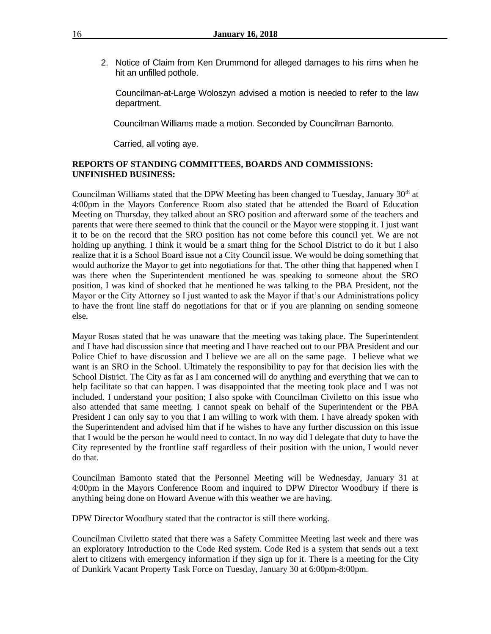2. Notice of Claim from Ken Drummond for alleged damages to his rims when he hit an unfilled pothole.

Councilman-at-Large Woloszyn advised a motion is needed to refer to the law department.

Councilman Williams made a motion. Seconded by Councilman Bamonto.

Carried, all voting aye.

### **REPORTS OF STANDING COMMITTEES, BOARDS AND COMMISSIONS: UNFINISHED BUSINESS:**

Councilman Williams stated that the DPW Meeting has been changed to Tuesday, January 30<sup>th</sup> at 4:00pm in the Mayors Conference Room also stated that he attended the Board of Education Meeting on Thursday, they talked about an SRO position and afterward some of the teachers and parents that were there seemed to think that the council or the Mayor were stopping it. I just want it to be on the record that the SRO position has not come before this council yet. We are not holding up anything. I think it would be a smart thing for the School District to do it but I also realize that it is a School Board issue not a City Council issue. We would be doing something that would authorize the Mayor to get into negotiations for that. The other thing that happened when I was there when the Superintendent mentioned he was speaking to someone about the SRO position, I was kind of shocked that he mentioned he was talking to the PBA President, not the Mayor or the City Attorney so I just wanted to ask the Mayor if that's our Administrations policy to have the front line staff do negotiations for that or if you are planning on sending someone else.

Mayor Rosas stated that he was unaware that the meeting was taking place. The Superintendent and I have had discussion since that meeting and I have reached out to our PBA President and our Police Chief to have discussion and I believe we are all on the same page. I believe what we want is an SRO in the School. Ultimately the responsibility to pay for that decision lies with the School District. The City as far as I am concerned will do anything and everything that we can to help facilitate so that can happen. I was disappointed that the meeting took place and I was not included. I understand your position; I also spoke with Councilman Civiletto on this issue who also attended that same meeting. I cannot speak on behalf of the Superintendent or the PBA President I can only say to you that I am willing to work with them. I have already spoken with the Superintendent and advised him that if he wishes to have any further discussion on this issue that I would be the person he would need to contact. In no way did I delegate that duty to have the City represented by the frontline staff regardless of their position with the union, I would never do that.

Councilman Bamonto stated that the Personnel Meeting will be Wednesday, January 31 at 4:00pm in the Mayors Conference Room and inquired to DPW Director Woodbury if there is anything being done on Howard Avenue with this weather we are having.

DPW Director Woodbury stated that the contractor is still there working.

Councilman Civiletto stated that there was a Safety Committee Meeting last week and there was an exploratory Introduction to the Code Red system. Code Red is a system that sends out a text alert to citizens with emergency information if they sign up for it. There is a meeting for the City of Dunkirk Vacant Property Task Force on Tuesday, January 30 at 6:00pm-8:00pm.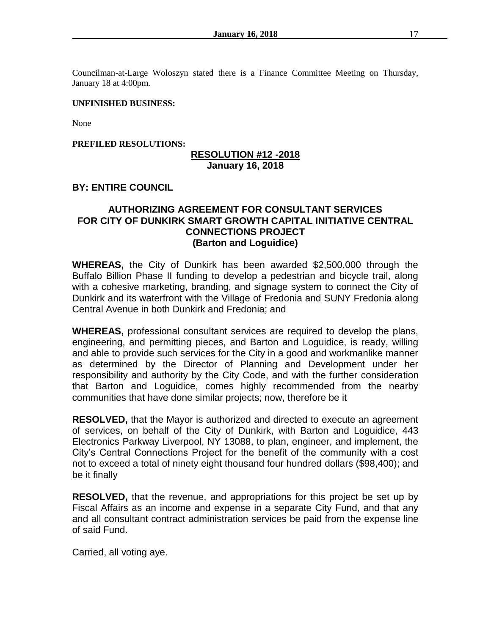Councilman-at-Large Woloszyn stated there is a Finance Committee Meeting on Thursday, January 18 at 4:00pm.

### **UNFINISHED BUSINESS:**

None

### **PREFILED RESOLUTIONS:**

### **RESOLUTION #12 -2018 January 16, 2018**

### **BY: ENTIRE COUNCIL**

### **AUTHORIZING AGREEMENT FOR CONSULTANT SERVICES FOR CITY OF DUNKIRK SMART GROWTH CAPITAL INITIATIVE CENTRAL CONNECTIONS PROJECT (Barton and Loguidice)**

**WHEREAS,** the City of Dunkirk has been awarded \$2,500,000 through the Buffalo Billion Phase II funding to develop a pedestrian and bicycle trail, along with a cohesive marketing, branding, and signage system to connect the City of Dunkirk and its waterfront with the Village of Fredonia and SUNY Fredonia along Central Avenue in both Dunkirk and Fredonia; and

**WHEREAS,** professional consultant services are required to develop the plans, engineering, and permitting pieces, and Barton and Loguidice, is ready, willing and able to provide such services for the City in a good and workmanlike manner as determined by the Director of Planning and Development under her responsibility and authority by the City Code, and with the further consideration that Barton and Loguidice, comes highly recommended from the nearby communities that have done similar projects; now, therefore be it

**RESOLVED,** that the Mayor is authorized and directed to execute an agreement of services, on behalf of the City of Dunkirk, with Barton and Loguidice, 443 Electronics Parkway Liverpool, NY 13088, to plan, engineer, and implement, the City's Central Connections Project for the benefit of the community with a cost not to exceed a total of ninety eight thousand four hundred dollars (\$98,400); and be it finally

**RESOLVED,** that the revenue, and appropriations for this project be set up by Fiscal Affairs as an income and expense in a separate City Fund, and that any and all consultant contract administration services be paid from the expense line of said Fund.

Carried, all voting aye.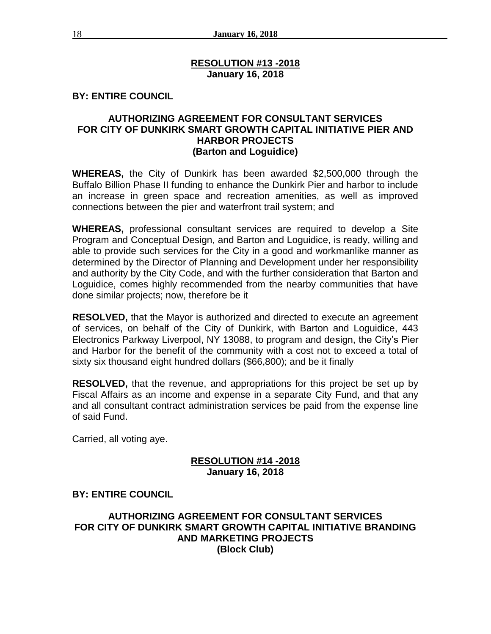## **RESOLUTION #13 -2018 January 16, 2018**

# **BY: ENTIRE COUNCIL**

## **AUTHORIZING AGREEMENT FOR CONSULTANT SERVICES FOR CITY OF DUNKIRK SMART GROWTH CAPITAL INITIATIVE PIER AND HARBOR PROJECTS (Barton and Loguidice)**

**WHEREAS,** the City of Dunkirk has been awarded \$2,500,000 through the Buffalo Billion Phase II funding to enhance the Dunkirk Pier and harbor to include an increase in green space and recreation amenities, as well as improved connections between the pier and waterfront trail system; and

**WHEREAS,** professional consultant services are required to develop a Site Program and Conceptual Design, and Barton and Loguidice, is ready, willing and able to provide such services for the City in a good and workmanlike manner as determined by the Director of Planning and Development under her responsibility and authority by the City Code, and with the further consideration that Barton and Loguidice, comes highly recommended from the nearby communities that have done similar projects; now, therefore be it

**RESOLVED,** that the Mayor is authorized and directed to execute an agreement of services, on behalf of the City of Dunkirk, with Barton and Loguidice, 443 Electronics Parkway Liverpool, NY 13088, to program and design, the City's Pier and Harbor for the benefit of the community with a cost not to exceed a total of sixty six thousand eight hundred dollars (\$66,800); and be it finally

**RESOLVED,** that the revenue, and appropriations for this project be set up by Fiscal Affairs as an income and expense in a separate City Fund, and that any and all consultant contract administration services be paid from the expense line of said Fund.

Carried, all voting aye.

## **RESOLUTION #14 -2018 January 16, 2018**

# **BY: ENTIRE COUNCIL**

# **AUTHORIZING AGREEMENT FOR CONSULTANT SERVICES FOR CITY OF DUNKIRK SMART GROWTH CAPITAL INITIATIVE BRANDING AND MARKETING PROJECTS (Block Club)**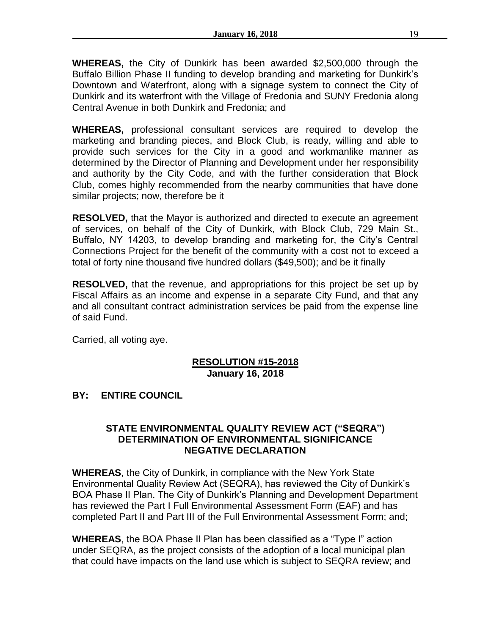**WHEREAS,** the City of Dunkirk has been awarded \$2,500,000 through the Buffalo Billion Phase II funding to develop branding and marketing for Dunkirk's Downtown and Waterfront, along with a signage system to connect the City of Dunkirk and its waterfront with the Village of Fredonia and SUNY Fredonia along Central Avenue in both Dunkirk and Fredonia; and

**WHEREAS,** professional consultant services are required to develop the marketing and branding pieces, and Block Club, is ready, willing and able to provide such services for the City in a good and workmanlike manner as determined by the Director of Planning and Development under her responsibility and authority by the City Code, and with the further consideration that Block Club, comes highly recommended from the nearby communities that have done similar projects; now, therefore be it

**RESOLVED,** that the Mayor is authorized and directed to execute an agreement of services, on behalf of the City of Dunkirk, with Block Club, 729 Main St., Buffalo, NY 14203, to develop branding and marketing for, the City's Central Connections Project for the benefit of the community with a cost not to exceed a total of forty nine thousand five hundred dollars (\$49,500); and be it finally

**RESOLVED,** that the revenue, and appropriations for this project be set up by Fiscal Affairs as an income and expense in a separate City Fund, and that any and all consultant contract administration services be paid from the expense line of said Fund.

Carried, all voting aye.

## **RESOLUTION #15-2018 January 16, 2018**

# **BY: ENTIRE COUNCIL**

# **STATE ENVIRONMENTAL QUALITY REVIEW ACT ("SEQRA") DETERMINATION OF ENVIRONMENTAL SIGNIFICANCE NEGATIVE DECLARATION**

**WHEREAS**, the City of Dunkirk, in compliance with the New York State Environmental Quality Review Act (SEQRA), has reviewed the City of Dunkirk's BOA Phase II Plan. The City of Dunkirk's Planning and Development Department has reviewed the Part I Full Environmental Assessment Form (EAF) and has completed Part II and Part III of the Full Environmental Assessment Form; and;

**WHEREAS**, the BOA Phase II Plan has been classified as a "Type I" action under SEQRA, as the project consists of the adoption of a local municipal plan that could have impacts on the land use which is subject to SEQRA review; and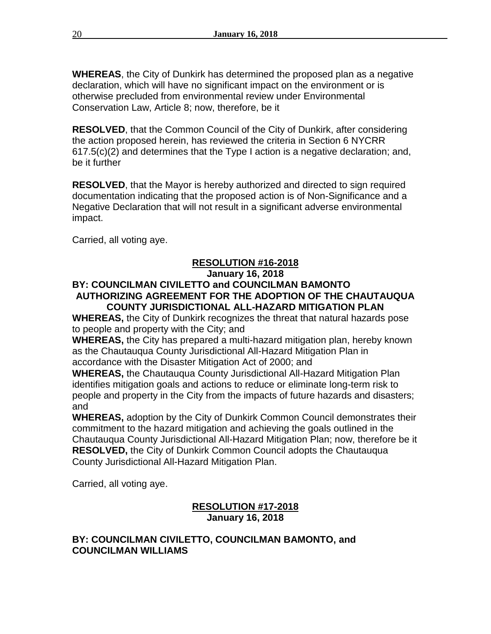**WHEREAS**, the City of Dunkirk has determined the proposed plan as a negative declaration, which will have no significant impact on the environment or is otherwise precluded from environmental review under Environmental Conservation Law, Article 8; now, therefore, be it

**RESOLVED**, that the Common Council of the City of Dunkirk, after considering the action proposed herein, has reviewed the criteria in Section 6 NYCRR 617.5(c)(2) and determines that the Type I action is a negative declaration; and, be it further

**RESOLVED**, that the Mayor is hereby authorized and directed to sign required documentation indicating that the proposed action is of Non-Significance and a Negative Declaration that will not result in a significant adverse environmental impact.

Carried, all voting aye.

# **RESOLUTION #16-2018**

### **January 16, 2018**

## **BY: COUNCILMAN CIVILETTO and COUNCILMAN BAMONTO AUTHORIZING AGREEMENT FOR THE ADOPTION OF THE CHAUTAUQUA COUNTY JURISDICTIONAL ALL-HAZARD MITIGATION PLAN**

**WHEREAS,** the City of Dunkirk recognizes the threat that natural hazards pose to people and property with the City; and

**WHEREAS,** the City has prepared a multi-hazard mitigation plan, hereby known as the Chautauqua County Jurisdictional All-Hazard Mitigation Plan in accordance with the Disaster Mitigation Act of 2000; and

**WHEREAS,** the Chautauqua County Jurisdictional All-Hazard Mitigation Plan identifies mitigation goals and actions to reduce or eliminate long-term risk to people and property in the City from the impacts of future hazards and disasters; and

**WHEREAS,** adoption by the City of Dunkirk Common Council demonstrates their commitment to the hazard mitigation and achieving the goals outlined in the Chautauqua County Jurisdictional All-Hazard Mitigation Plan; now, therefore be it **RESOLVED,** the City of Dunkirk Common Council adopts the Chautauqua County Jurisdictional All-Hazard Mitigation Plan.

Carried, all voting aye.

# **RESOLUTION #17-2018 January 16, 2018**

# **BY: COUNCILMAN CIVILETTO, COUNCILMAN BAMONTO, and COUNCILMAN WILLIAMS**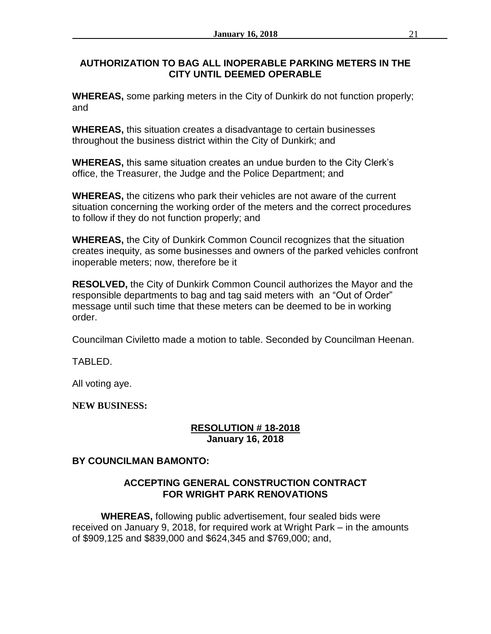# **AUTHORIZATION TO BAG ALL INOPERABLE PARKING METERS IN THE CITY UNTIL DEEMED OPERABLE**

**WHEREAS,** some parking meters in the City of Dunkirk do not function properly; and

**WHEREAS,** this situation creates a disadvantage to certain businesses throughout the business district within the City of Dunkirk; and

**WHEREAS,** this same situation creates an undue burden to the City Clerk's office, the Treasurer, the Judge and the Police Department; and

**WHEREAS,** the citizens who park their vehicles are not aware of the current situation concerning the working order of the meters and the correct procedures to follow if they do not function properly; and

**WHEREAS,** the City of Dunkirk Common Council recognizes that the situation creates inequity, as some businesses and owners of the parked vehicles confront inoperable meters; now, therefore be it

**RESOLVED,** the City of Dunkirk Common Council authorizes the Mayor and the responsible departments to bag and tag said meters with an "Out of Order" message until such time that these meters can be deemed to be in working order.

Councilman Civiletto made a motion to table. Seconded by Councilman Heenan.

TABLED.

All voting aye.

**NEW BUSINESS:**

# **RESOLUTION # 18-2018 January 16, 2018**

# **BY COUNCILMAN BAMONTO:**

# **ACCEPTING GENERAL CONSTRUCTION CONTRACT FOR WRIGHT PARK RENOVATIONS**

**WHEREAS,** following public advertisement, four sealed bids were received on January 9, 2018, for required work at Wright Park – in the amounts of \$909,125 and \$839,000 and \$624,345 and \$769,000; and,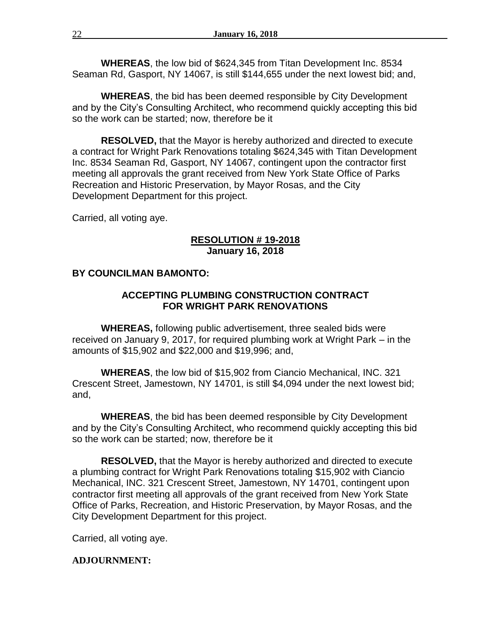**WHEREAS**, the low bid of \$624,345 from Titan Development Inc. 8534 Seaman Rd, Gasport, NY 14067, is still \$144,655 under the next lowest bid; and,

**WHEREAS**, the bid has been deemed responsible by City Development and by the City's Consulting Architect, who recommend quickly accepting this bid so the work can be started; now, therefore be it

**RESOLVED,** that the Mayor is hereby authorized and directed to execute a contract for Wright Park Renovations totaling \$624,345 with Titan Development Inc. 8534 Seaman Rd, Gasport, NY 14067, contingent upon the contractor first meeting all approvals the grant received from New York State Office of Parks Recreation and Historic Preservation, by Mayor Rosas, and the City Development Department for this project.

Carried, all voting aye.

## **RESOLUTION # 19-2018 January 16, 2018**

### **BY COUNCILMAN BAMONTO:**

## **ACCEPTING PLUMBING CONSTRUCTION CONTRACT FOR WRIGHT PARK RENOVATIONS**

**WHEREAS,** following public advertisement, three sealed bids were received on January 9, 2017, for required plumbing work at Wright Park – in the amounts of \$15,902 and \$22,000 and \$19,996; and,

**WHEREAS**, the low bid of \$15,902 from Ciancio Mechanical, INC. 321 Crescent Street, Jamestown, NY 14701, is still \$4,094 under the next lowest bid; and,

**WHEREAS**, the bid has been deemed responsible by City Development and by the City's Consulting Architect, who recommend quickly accepting this bid so the work can be started; now, therefore be it

**RESOLVED,** that the Mayor is hereby authorized and directed to execute a plumbing contract for Wright Park Renovations totaling \$15,902 with Ciancio Mechanical, INC. 321 Crescent Street, Jamestown, NY 14701, contingent upon contractor first meeting all approvals of the grant received from New York State Office of Parks, Recreation, and Historic Preservation, by Mayor Rosas, and the City Development Department for this project.

Carried, all voting aye.

### **ADJOURNMENT:**